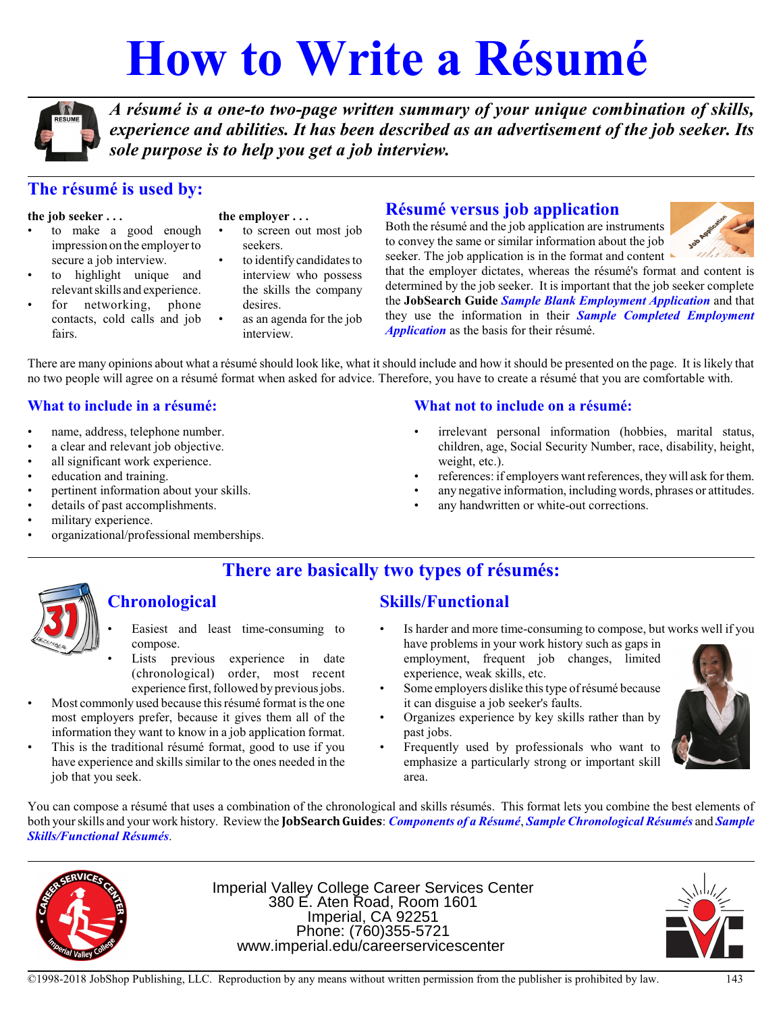# **How to Write a Résumé**



*A résumé is a one-to two-page written summary of your unique combination of skills, experience and abilities. It has been described as an advertisement of the job seeker. Its sole purpose is to help you get a job interview.*

# **The résumé is used by:**

#### **the job seeker . . .**

- to make a good enough impression on the employer to secure a job interview.
- to highlight unique and relevant skills and experience.
- for networking, phone contacts, cold calls and job fairs.

**the employer . . .**

- to screen out most job seekers.
- to identify candidates to interview who possess the skills the company desires.
- as an agenda for the job interview.

## **Résumé versus job application**

Both the résumé and the job application are instruments to convey the same or similar information about the job seeker. The job application is in the format and content



that the employer dictates, whereas the résumé's format and content is determined by the job seeker. It is important that the job seeker complete the **JobSearch Guide** *Sample Blank Employment Application* and that they use the information in their *Sample Completed Employment Application* as the basis for their résumé.

There are many opinions about what a résumé should look like, what it should include and how it should be presented on the page. It is likely that no two people will agree on a résumé format when asked for advice. Therefore, you have to create a résumé that you are comfortable with.

#### **What to include in a résumé:**

- name, address, telephone number.
- a clear and relevant job objective.
- all significant work experience.
- education and training.
- pertinent information about your skills.
- details of past accomplishments.
- military experience.
- organizational/professional memberships.

#### **What not to include on a résumé:**

- irrelevant personal information (hobbies, marital status, children, age, Social Security Number, race, disability, height, weight, etc.).
- references: if employers want references, they will ask for them.
- any negative information, including words, phrases or attitudes.
- any handwritten or white-out corrections.

## **There are basically two types of résumés:**



# **Chronological**

- Easiest and least time-consuming to compose.
- Lists previous experience in date (chronological) order, most recent experience first, followed by previous jobs.
- Most commonly used because this résumé format is the one most employers prefer, because it gives them all of the information they want to know in a job application format.
- This is the traditional résumé format, good to use if you have experience and skills similar to the ones needed in the job that you seek.

## **Skills/Functional**

- Is harder and more time-consuming to compose, but works well if you
- have problems in your work history such as gaps in employment, frequent job changes, limited experience, weak skills, etc.
- Some employers dislike this type of résumé because it can disguise a job seeker's faults.
- Organizes experience by key skills rather than by past jobs.
- Frequently used by professionals who want to emphasize a particularly strong or important skill area.



You can compose a résumé that uses a combination of the chronological and skills résumés. This format lets you combine the best elements of both your skills and your work history. Review the **JobSearchGuides**: *Components of a Résumé*, *Sample Chronological Résumés* and *Sample Skills/Functional Résumés*.



Imperial Valley College Career Services Center 380 E. Aten Road, Room 1601 Imperial, CA 92251 Phone: (760)355-5721 www.imperial.edu/careerservicescenter